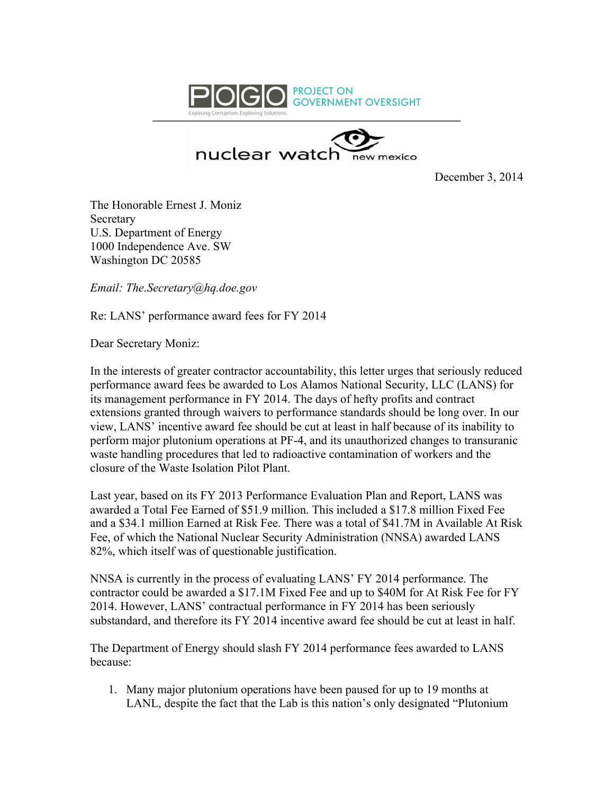



December 3, 2014

The Honorable Ernest J. Moniz **Secretary** U.S. Department of Energy 1000 Independence Ave. SW Washington DC 20585

*Email: The.Secretary@hq.doe.gov*

Re: LANS' performance award fees for FY 2014

Dear Secretary Moniz:

In the interests of greater contractor accountability, this letter urges that seriously reduced performance award fees be awarded to Los Alamos National Security, LLC (LANS) for its management performance in FY 2014. The days of hefty profits and contract extensions granted through waivers to performance standards should be long over. In our view, LANS' incentive award fee should be cut at least in half because of its inability to perform major plutonium operations at PF-4, and its unauthorized changes to transuranic waste handling procedures that led to radioactive contamination of workers and the closure of the Waste Isolation Pilot Plant.

Last year, based on its FY 2013 Performance Evaluation Plan and Report, LANS was awarded a Total Fee Earned of \$51.9 million. This included a \$17.8 million Fixed Fee and a \$34.1 million Earned at Risk Fee. There was a total of \$41.7M in Available At Risk Fee, of which the National Nuclear Security Administration (NNSA) awarded LANS 82%, which itself was of questionable justification.

NNSA is currently in the process of evaluating LANS' FY 2014 performance. The contractor could be awarded a \$17.1M Fixed Fee and up to \$40M for At Risk Fee for FY 2014. However, LANS' contractual performance in FY 2014 has been seriously substandard, and therefore its FY 2014 incentive award fee should be cut at least in half.

The Department of Energy should slash FY 2014 performance fees awarded to LANS because:

1. Many major plutonium operations have been paused for up to 19 months at LANL, despite the fact that the Lab is this nation's only designated "Plutonium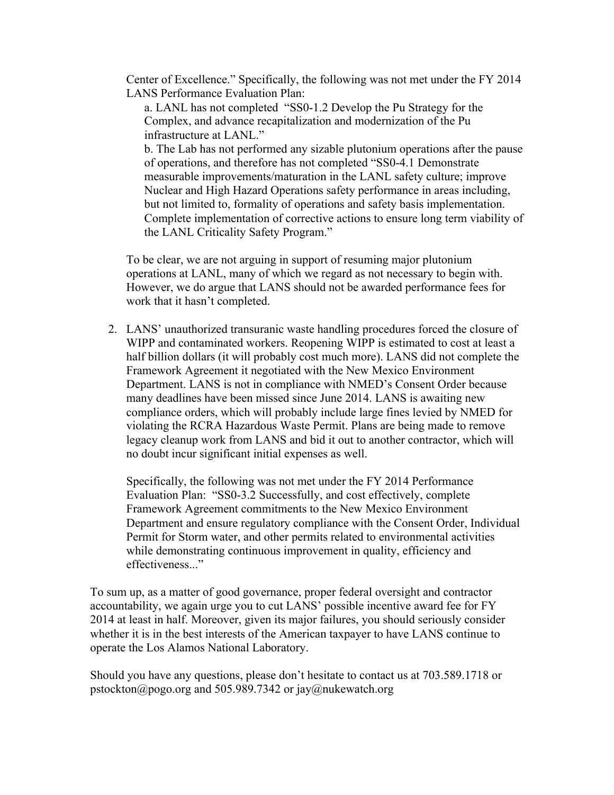Center of Excellence." Specifically, the following was not met under the FY 2014 LANS Performance Evaluation Plan:

a. LANL has not completed "SS0-1.2 Develop the Pu Strategy for the Complex, and advance recapitalization and modernization of the Pu infrastructure at LANL."

b. The Lab has not performed any sizable plutonium operations after the pause of operations, and therefore has not completed "SS0-4.1 Demonstrate measurable improvements/maturation in the LANL safety culture; improve Nuclear and High Hazard Operations safety performance in areas including, but not limited to, formality of operations and safety basis implementation. Complete implementation of corrective actions to ensure long term viability of the LANL Criticality Safety Program."

To be clear, we are not arguing in support of resuming major plutonium operations at LANL, many of which we regard as not necessary to begin with. However, we do argue that LANS should not be awarded performance fees for work that it hasn't completed.

2. LANS' unauthorized transuranic waste handling procedures forced the closure of WIPP and contaminated workers. Reopening WIPP is estimated to cost at least a half billion dollars (it will probably cost much more). LANS did not complete the Framework Agreement it negotiated with the New Mexico Environment Department. LANS is not in compliance with NMED's Consent Order because many deadlines have been missed since June 2014. LANS is awaiting new compliance orders, which will probably include large fines levied by NMED for violating the RCRA Hazardous Waste Permit. Plans are being made to remove legacy cleanup work from LANS and bid it out to another contractor, which will no doubt incur significant initial expenses as well.

Specifically, the following was not met under the FY 2014 Performance Evaluation Plan: "SS0-3.2 Successfully, and cost effectively, complete Framework Agreement commitments to the New Mexico Environment Department and ensure regulatory compliance with the Consent Order, Individual Permit for Storm water, and other permits related to environmental activities while demonstrating continuous improvement in quality, efficiency and effectiveness..."

To sum up, as a matter of good governance, proper federal oversight and contractor accountability, we again urge you to cut LANS' possible incentive award fee for FY 2014 at least in half. Moreover, given its major failures, you should seriously consider whether it is in the best interests of the American taxpayer to have LANS continue to operate the Los Alamos National Laboratory.

Should you have any questions, please don't hesitate to contact us at 703.589.1718 or pstockton@pogo.org and 505.989.7342 or jay@nukewatch.org